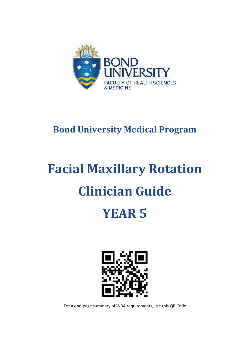

# **Bond University Medical Program**

# **Facial Maxillary Rotation Clinician Guide YEAR 5**



For a one-page summary of WBA requirements, use this QR Code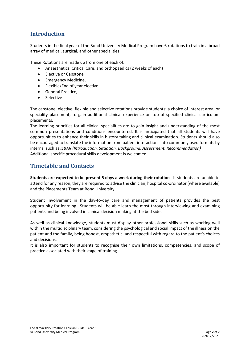### **Introduction**

Students in the final year of the Bond University Medical Program have 6 rotations to train in a broad array of medical, surgical, and other specialities.

These Rotations are made up from one of each of:

- Anaesthetics, Critical Care, and orthopaedics (2 weeks of each)
- Elective or Capstone
- Emergency Medicine,
- Flexible/End of year elective
- General Practice,
- **Selective**

The capstone, elective, flexible and selective rotations provide students' a choice of interest area, or speciality placement, to gain additional clinical experience on top of specified clinical curriculum placements.

The learning priorities for all clinical specialities are to gain insight and understanding of the most common presentations and conditions encountered. It is anticipated that all students will have opportunities to enhance their skills in history taking and clinical examination. Students should also be encouraged to translate the information from patient interactions into commonly used formats by interns, such as *ISBAR (Introduction, Situation, Background, Assessment, Recommendation)* Additional specific procedural skills development is welcomed

#### **Timetable and Contacts**

**Students are expected to be present 5 days a week during their rotation**. If students are unable to attend for any reason, they are required to advise the clinician, hospital co-ordinator (where available) and the Placements Team at Bond University.

Student involvement in the day-to-day care and management of patients provides the best opportunity for learning. Students will be able learn the most through interviewing and examining patients and being involved in clinical decision making at the bed side.

As well as clinical knowledge, students must display other professional skills such as working well within the multidisciplinary team, considering the psychological and social impact of the illness on the patient and the family, being honest, empathetic, and respectful with regard to the patient's choices and decisions.

It is also important for students to recognise their own limitations, competencies, and scope of practice associated with their stage of training.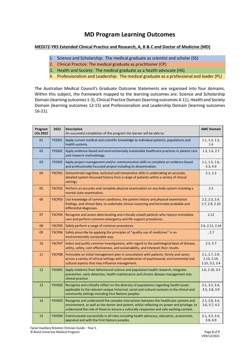## **MD Program Learning Outcomes**

#### **MEDI72-YR5 Extended Clinical Practice and Research, A, B & C and Doctor of Medicine (MD)**

- 1. Science and Scholarship: The medical graduate as scientist and scholar (SS)
- 2. Clinical Practice: The medical graduate as practitioner (CP)
- 3. Health and Society: The medical graduate as a health advocate (HS)
- 4. Professionalism and Leadership: The medical graduate as a professional and leader (PL)

The Australian Medical Council's Graduate Outcome Statements are organised into four domains. Within this subject, the framework mapped to the learning outcomes are: Science and Scholarship Domain (learning outcomes 1-3), Clinical Practice Domain (learning outcomes 4-11), Health and Society Domain (learning outcomes 12-15) and Professionalism and Leadership Domain (learning outcomes 16-21).

| Program<br>LOs 2022 | 2022          | <b>Description</b><br>On successful completion of this program the learner will be able to:                                                                                                                                                                                      | <b>AMC Domain</b>                               |
|---------------------|---------------|----------------------------------------------------------------------------------------------------------------------------------------------------------------------------------------------------------------------------------------------------------------------------------|-------------------------------------------------|
| 01                  | <b>Y5SS01</b> | Apply current medical and scientific knowledge to individual patients, populations and<br>health systems.                                                                                                                                                                        | 1.1, 1.2, 1.3,<br>1.4                           |
| 02                  | <b>Y5SS02</b> | Apply evidence-based and environmentally sustainable healthcare practices in patient care<br>and research methodology.                                                                                                                                                           | 1.5, 1.6, 2.7                                   |
| 03                  | <b>Y5SS03</b> | Apply project management and/or communication skills to complete an evidence based<br>and professionally focussed project including its dissemination.                                                                                                                           | 1.1, 1.5, 1.6,<br>3.3, 4.9                      |
| 04                  | <b>Y5CP01</b> | Demonstrate cognitive, technical and interpretive skills in undertaking an accurate,<br>detailed system-focussed history from a range of patients within a variety of clinical<br>settings.                                                                                      | 2.1, 2.2                                        |
| 05                  | <b>Y5CP02</b> | Perform an accurate and complete physical examination on any body system including a<br>mental state examination.                                                                                                                                                                | 2.3                                             |
| 06                  | <b>Y5CP03</b> | Use knowledge of common conditions, the patient history and physical examination<br>findings, and clinical data, to undertake clinical reasoning and formulate probable and<br>differential diagnoses.                                                                           | 2.2, 2.3, 2.4,<br>2.7, 2.8, 2.10                |
| 07                  | <b>Y5CP04</b> | Recognise and assess deteriorating and critically unwell patients who require immediate<br>care and perform common emergency and life support procedures.                                                                                                                        | 2.12                                            |
| 08                  | <b>Y5CP05</b> | Safely perform a range of common procedures.                                                                                                                                                                                                                                     | 2.6, 2.11, 2.14                                 |
| 09                  | <b>Y5CP06</b> | Safely prescribe by applying the principles of "quality use of medicines" in an<br>environmentally sustainable way.                                                                                                                                                              | , 2.7                                           |
| 10                  | <b>Y5CP07</b> | Select and justify common investigations, with regard to the pathological basis of disease,<br>utility, safety, cost-effectiveness, and sustainability, and interpret their results.                                                                                             | 2.5, 3.7                                        |
| 11                  | <b>Y5CP08</b> | Formulate an initial management plan in consultation with patients, family and carers<br>across a variety of clinical settings with consideration of psychosocial, environmental and<br>cultural aspects that may influence management.                                          | 2.1, 2.7, 2.9,<br>2.13, 2.14,<br>2.15, 3.2, 3.4 |
| 12                  | <b>Y5HS01</b> | Apply evidence from behavioural science and population health research, integrate<br>prevention, early detection, health maintenance and chronic disease management into<br>clinical practice.                                                                                   | 1.6, 2.10, 3.5                                  |
| 13                  | <b>Y5HS02</b> | Recognise and critically reflect on the diversity of populations regarding health issues<br>applicable to the relevant unique historical, social and cultural contexts in the clinical and<br>community settings including First Nations peoples.                                | 3.1, 3.2, 3.4,<br>3.5, 3.8, 3.9                 |
| 14                  | <b>Y5HS03</b> | Recognise and understand the complex interactions between the healthcare systems and<br>environment, as well as the doctor and patient, whilst reflecting on power and privilege, to<br>understand the role of these to ensure a culturally responsive and safe working context. | 2.1, 2.8, 3.4,<br>3.6, 3.7, 4.5                 |
| 15                  | <b>Y5HS04</b> | Communicate successfully in all roles including health advocacy, education, assessment,<br>appraisal and with the First Nations peoples.                                                                                                                                         | 2.1, 3.3, 3.4,<br>3.8, 4.9                      |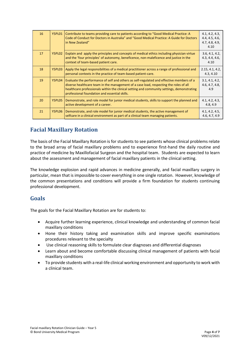| 16 | Y5PL01 | Contribute to teams providing care to patients according to "Good Medical Practice: A<br>Code of Conduct for Doctors in Australia" and "Good Medical Practice: A Guide for Doctors<br>in New Zealand"                                                                                                                            | 4.1, 4.2, 4.3,<br>4.4, 4.5, 4.6,<br>4.7, 4.8, 4.9,<br>4.10 |
|----|--------|----------------------------------------------------------------------------------------------------------------------------------------------------------------------------------------------------------------------------------------------------------------------------------------------------------------------------------|------------------------------------------------------------|
| 17 | Y5PL02 | Explain and apply the principles and concepts of medical ethics including physician virtue<br>and the 'four principles' of autonomy, beneficence, non-maleficence and justice in the<br>context of team-based patient care.                                                                                                      | 3.6, 4.1, 4.2,<br>4.3, 4.4, 4.6,<br>4.10                   |
| 18 | Y5PL03 | Apply the legal responsibilities of a medical practitioner across a range of professional and<br>personal contexts in the practice of team-based patient-care.                                                                                                                                                                   | 2.15, 4.1, 4.2,<br>4.3, 4.10                               |
| 19 | Y5PL04 | Evaluate the performance of self and others as self-regulated and effective members of a<br>diverse healthcare team in the management of a case load, respecting the roles of all<br>healthcare professionals within the clinical setting and community settings, demonstrating<br>professional foundation and essential skills. | 3.1, 4.1, 4.2,<br>4.6, 4.7, 4.8,<br>4.9                    |
| 20 | Y5PL05 | Demonstrate, and role model for junior medical students, skills to support the planned and<br>active development of a career.                                                                                                                                                                                                    | 4.1, 4.2, 4.3,<br>4.8, 4.9                                 |
| 21 | Y5PL06 | Demonstrate, and role model for junior medical students, the active management of<br>selfcare in a clinical environment as part of a clinical team managing patients.                                                                                                                                                            | 4.1, 4.2, 4.5,<br>4.6, 4.7, 4.9                            |

### **Facial Maxillary Rotation**

The basis of the Facial Maxillary Rotation is for students to see patients whose clinical problems relate to the broad array of facial maxillary problems and to experience first-hand the daily routine and practice of medicine by Maxillofacial Surgeon and the hospital team. Students are expected to learn about the assessment and management of facial maxillary patients in the clinical setting.

The knowledge explosion and rapid advances in medicine generally, and facial maxillary surgery in particular, mean that is impossible to cover everything in one single rotation. However, knowledge of the common presentations and conditions will provide a firm foundation for students continuing professional development.

#### **Goals**

The goals for the Facial Maxillary Rotation are for students to:

- Acquire further learning experience, clinical knowledge and understanding of common facial maxillary conditions
- Hone their history taking and examination skills and improve specific examinations procedures relevant to the specialty
- Use clinical reasoning skills to formulate clear diagnoses and differential diagnoses
- Learn about and become comfortable discussing clinical management of patients with facial maxillary conditions
- To provide students with a real-life clinical working environment and opportunity to work with a clinical team.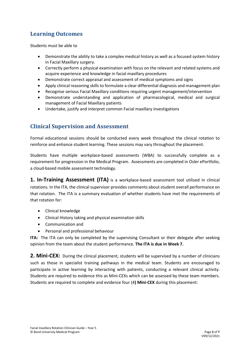# **Learning Outcomes**

Students must be able to

- Demonstrate the ability to take a complex medical history as well as a focused system history in Facial Maxillary surgery.
- Correctly perform a physical examination with focus on the relevant and related systems and acquire experience and knowledge in facial maxillary procedures
- Demonstrate correct appraisal and assessment of medical symptoms and signs
- Apply clinical reasoning skills to formulate a clear differential diagnosis and management plan
- Recognise serious Facial Maxillary conditions requiring urgent management/intervention
- Demonstrate understanding and application of pharmacological, medical and surgical management of Facial Maxillary patients
- Undertake, justify and interpret common Facial maxillary investigations

#### **Clinical Supervision and Assessment**

Formal educational sessions should be conducted every week throughout the clinical rotation to reinforce and enhance student learning. These sessions may vary throughout the placement.

Students have multiple workplace-based assessments (WBA) to successfully complete as a requirement for progression in the Medical Program. Assessments are completed in Osler ePortfolio, a cloud-based mobile assessment technology.

**1. In-Training Assessment (ITA)** is a workplace-based assessment tool utilised in clinical rotations. In the ITA, the clinical supervisor provides comments about student overall performance on that rotation. The ITA is a summary evaluation of whether students have met the requirements of that rotation for:

- Clinical knowledge
- Clinical History taking and physical examination skills
- Communication and
- Personal and professional behaviour

**ITA:** The ITA can only be completed by the supervising Consultant or their delegate after seeking opinion from the team about the student performance. **The ITA is due in Week 7.**

**2. Mini-CEX:** During the clinical placement, students will be supervised by a number of clinicians such as those in specialist training pathways in the medical team. Students are encouraged to participate in active learning by interacting with patients, conducting a relevant clinical activity. Students are required to evidence this as Mini-CEXs which can be assessed by these team members. Students are required to complete and evidence four (4**) Mini-CEX** during this placement: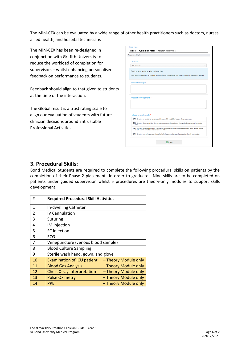The Mini-CEX can be evaluated by a wide range of other health practitioners such as doctors, nurses, allied health, and hospital technicians

The Mini-CEX has been re-designed in conjunction with Griffith University to reduce the workload of completion for supervisors – whilst enhancing personalised feedback on performance to students.

Feedback should align to that given to students at the time of the interaction.

The Global result is a trust rating scale to align our evaluation of students with future clinician decisions around Entrustable Professional Activities.

| Assessment Criteria                    |                                                                                                                                                                         |
|----------------------------------------|-------------------------------------------------------------------------------------------------------------------------------------------------------------------------|
| Location*                              |                                                                                                                                                                         |
| Select Location                        |                                                                                                                                                                         |
| Feedback to assist student's learning: |                                                                                                                                                                         |
|                                        | Please describe the Student's Performance: what was effective and ineffective, your overall impression and any specific feedback.                                       |
| Areas of strength:*                    |                                                                                                                                                                         |
|                                        |                                                                                                                                                                         |
|                                        |                                                                                                                                                                         |
|                                        |                                                                                                                                                                         |
|                                        |                                                                                                                                                                         |
| Areas of development:*                 |                                                                                                                                                                         |
|                                        |                                                                                                                                                                         |
|                                        |                                                                                                                                                                         |
| Global Overall result:*                |                                                                                                                                                                         |
|                                        | O 1. Requires my assistance to complete this task safely in addition to close direct supervision                                                                        |
| task)                                  | O 2. Requires direct supervision (I need to be present with the student to observe the interaction and review the                                                       |
|                                        | O 3. Requires proximal supervision (I need to be in an adjacent room or on the same ward as the student and be<br>able to provide immediate or detailed review of task) |
|                                        |                                                                                                                                                                         |

#### **3. Procedural Skills:**

Bond Medical Students are required to complete the following procedural skills on patients by the completion of their Phase 2 placements in order to graduate. Nine skills are to be completed on patients under guided supervision whilst 5 procedures are theory-only modules to support skills development.

| #  | <b>Required Procedural Skill Activities</b> |                      |  |
|----|---------------------------------------------|----------------------|--|
| 1  | In-dwelling Catheter                        |                      |  |
| 2  | <b>IV Cannulation</b>                       |                      |  |
| 3  | Suturing                                    |                      |  |
| 4  | IM injection                                |                      |  |
| 5  | SC injection                                |                      |  |
| 6  | <b>ECG</b>                                  |                      |  |
| 7  | Venepuncture (venous blood sample)          |                      |  |
| 8  | <b>Blood Culture Sampling</b>               |                      |  |
| 9  | Sterile wash hand, gown, and glove          |                      |  |
| 10 | <b>Examination of ICU patient</b>           | - Theory Module only |  |
| 11 | <b>Blood Gas Analysis</b>                   | - Theory Module only |  |
| 12 | <b>Chest X-ray Interpretation</b>           | - Theory Module only |  |
| 13 | <b>Pulse Oximetry</b>                       | - Theory Module only |  |
| 14 | <b>PPE</b>                                  | - Theory Module only |  |